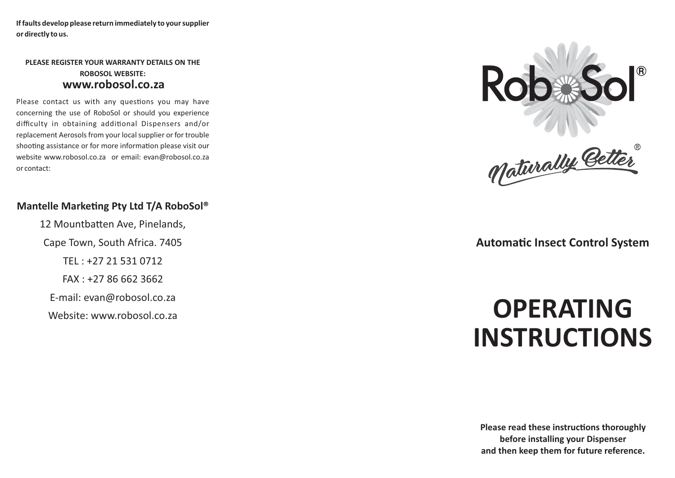**If faults develop please return immediately to your supplier or directly to us.**

### **PLEASE REGISTER YOUR WARRANTY DETAILS ON THE ROBOSOL WEBSITE: www.robosol.co.za**

Please contact us with any questions you may have concerning the use of RoboSol or should you experience difficulty in obtaining additional Dispensers and/or replacement Aerosols from your local supplier or for trouble shooting assistance or for more information please visit our website www.robosol.co.za or email: evan@robosol.co.za or contact:

## **Mantelle Marketing Pty Ltd T/A RoboSol<sup>®</sup>**

12 Mountbatten Ave, Pinelands, Cape Town, South Africa. 7405 TEL : +27 21 531 0712 FAX : +27 86 662 3662 E-mail: evan@robosol.co.za Website: www.robosol.co.za





# **Automatic Insect Control System**

# **OPERATING INSTRUCTIONS**

**Please read these instructions thoroughly before installing your Dispenser and then keep them for future reference.**